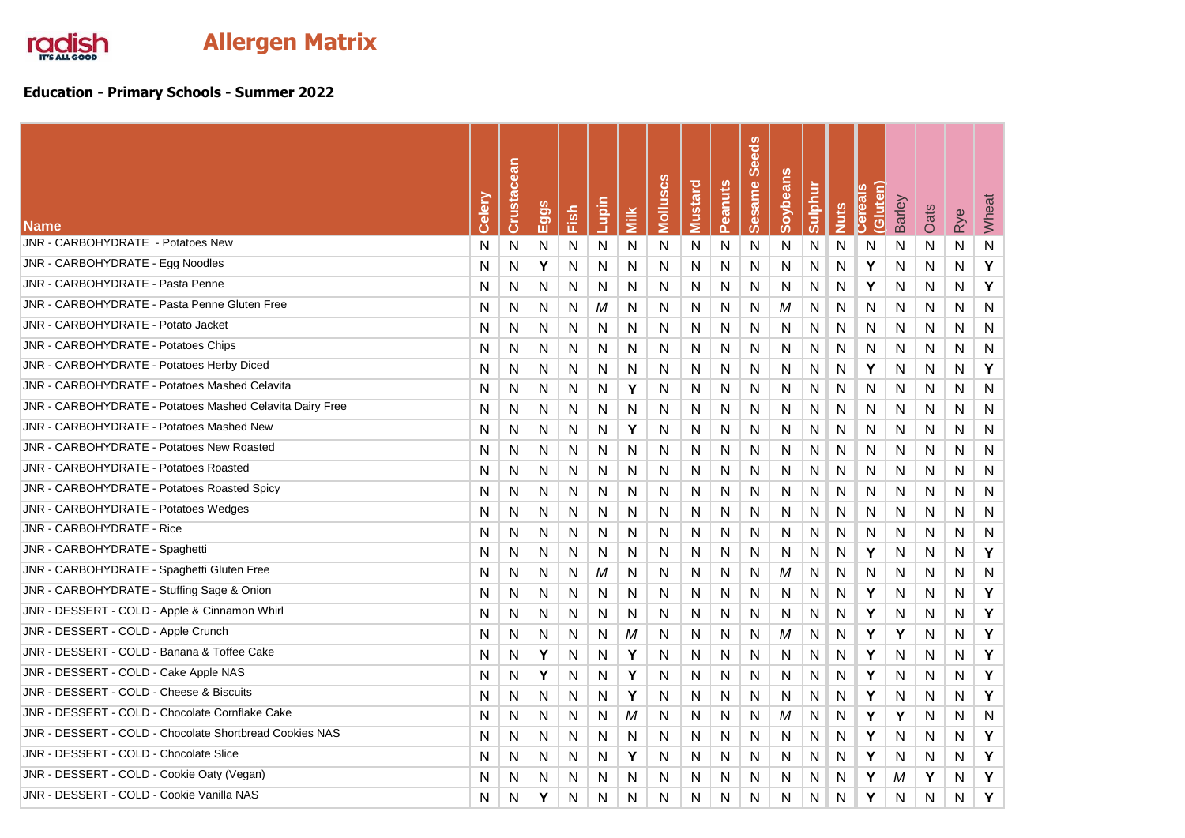

## **Education - Primary Schools - Summer 2022**

| <b>Name</b>                                              | Celery | Crustacean | ë<br>⊟ | Fish | Lupin        | <b>Niik</b> | Molluscs | <b>Mustard</b> | Peanuts | <b>Seeds</b><br><b>Sesame</b> | Soybeans | Sulphur | <b>Nuts</b>  | Gluten)<br>n<br><b>Belled</b> | Barley | Oats         | Rye          | Wheat        |
|----------------------------------------------------------|--------|------------|--------|------|--------------|-------------|----------|----------------|---------|-------------------------------|----------|---------|--------------|-------------------------------|--------|--------------|--------------|--------------|
| JNR - CARBOHYDRATE - Potatoes New                        | N      | N          | N      | N    | N            | N           | N        | N              | N       | N                             | Ν        | N       | N            | N                             | N      | $\mathsf{N}$ | N            | ${\sf N}$    |
| JNR - CARBOHYDRATE - Egg Noodles                         | N      | N          | Y      | N    | N            | N           | N        | N              | N       | N                             | N        | N       | N            | Y                             | N      | N            | N            | Y            |
| JNR - CARBOHYDRATE - Pasta Penne                         | N      | N          | N      | N    | N            | N           | N        | N              | N       | N                             | N        | N       | N            | Υ                             | N      | N            | N            | Y            |
| JNR - CARBOHYDRATE - Pasta Penne Gluten Free             | N      | N          | N      | N    | M            | N           | N        | N              | N       | N                             | M        | N       | N            | N                             | N      | N            | N            | $\mathsf{N}$ |
| JNR - CARBOHYDRATE - Potato Jacket                       | N      | N          | N      | N    | <sup>N</sup> | N           | N        | N              | N       | N                             | N        | N       | N            | N                             | N      | N            | N            | $\mathsf{N}$ |
| <b>JNR - CARBOHYDRATE - Potatoes Chips</b>               | N      | N          | N      | N    | N            | N           | N        | N              | N       | N                             | N        | N       | $\mathsf{N}$ | N                             | N      | N            | N            | ${\sf N}$    |
| JNR - CARBOHYDRATE - Potatoes Herby Diced                | N      | N          | N      | N    | N            | N           | N        | N              | N       | N                             | N        | N       | N            | Y                             | N      | N            | N            | Y            |
| JNR - CARBOHYDRATE - Potatoes Mashed Celavita            | N      | N          | N      | N    | N            | Y           | N        | N              | N       | N                             | Ν        | N       | N            | N                             | N      | N            | N            | $\mathsf{N}$ |
| JNR - CARBOHYDRATE - Potatoes Mashed Celavita Dairy Free | N      | N          | N      | N    | N            | N           | N        | N              | Ν       | N                             | N        | N       | N            | N                             | N      | N            | N            | $\mathsf{N}$ |
| JNR - CARBOHYDRATE - Potatoes Mashed New                 | N      | N          | N      | N    | N            | Υ           | N        | N              | N       | N                             | N        | N       | N            | N                             | N      | N            | N            | $\mathsf{N}$ |
| JNR - CARBOHYDRATE - Potatoes New Roasted                | N      | N          | N      | N    | N            | N           | N        | N              | N       | N                             | N        | N       | N            | N                             | N      | N            | N            | N            |
| JNR - CARBOHYDRATE - Potatoes Roasted                    | N      | N          | N      | N    | N            | N           | N        | N              | N       | N                             | N        | N       | N            | N                             | N      | N            | N            | $\mathsf{N}$ |
| <b>JNR - CARBOHYDRATE - Potatoes Roasted Spicy</b>       | N      | N          | N      | N    | N            | N           | N        | N              | Ν       | N                             | N        | N       | N            | N                             | N      | N            | N            | N            |
| <b>JNR - CARBOHYDRATE - Potatoes Wedges</b>              | N      | N          | N      | N    | N            | N           | N        | N              | N       | N                             | Ν        | N       | N            | N                             | N      | $\mathsf{N}$ | N            | $\mathsf{N}$ |
| JNR - CARBOHYDRATE - Rice                                | N      | N          | N      | N    | N            | N           | N        | N              | N       | N                             | N        | N       | N            | N                             | N      | N            | N            | $\mathsf{N}$ |
| JNR - CARBOHYDRATE - Spaghetti                           | N      | N          | N      | N    | $\mathsf{N}$ | N           | N        | N              | N       | N                             | N        | N       | N            | Y                             | N      | N            | N            | Y            |
| JNR - CARBOHYDRATE - Spaghetti Gluten Free               | N      | N          | N      | N    | M            | N           | N        | N              | N       | N                             | M        | N       | N            | N                             | N      | N            | N            | N            |
| JNR - CARBOHYDRATE - Stuffing Sage & Onion               | N      | N          | N      | N    | N            | N           | N        | N              | N       | N                             | N        | N       | N            | Υ                             | N      | N            | N            | Y            |
| JNR - DESSERT - COLD - Apple & Cinnamon Whirl            | N      | N          | N      | N    | N            | N           | N        | N              | N       | N                             | N        | N       | N            | Y                             | N      | N            | N            | Y            |
| JNR - DESSERT - COLD - Apple Crunch                      | N      | N          | N      | N    | N            | М           | N        | N              | N       | N                             | М        | N       | N            | Y                             | Υ      | N            | N            | Y            |
| JNR - DESSERT - COLD - Banana & Toffee Cake              | N      | N          | Υ      | N    | N            | Υ           | N        | N              | N       | N                             | N        | N       | N            | Y                             | N      | N            | N            | Y            |
| JNR - DESSERT - COLD - Cake Apple NAS                    | N      | N          | Y      | N    | N            | Υ           | N        | N              | N       | N                             | N        | N       | N            | Υ                             | N      | N            | $\mathsf{N}$ | Y            |
| JNR - DESSERT - COLD - Cheese & Biscuits                 | N      | N          | N      | N    | N            | Y           | N        | N              | N       | N                             | Ν        | N       | N            | Y                             | N      | N            | N            | Y            |
| JNR - DESSERT - COLD - Chocolate Cornflake Cake          | N      | N          | N      | N    | N            | M           | N        | N              | N       | N                             | М        | N       | N            | Y                             | Υ      | N            | N            | $\mathsf{N}$ |
| JNR - DESSERT - COLD - Chocolate Shortbread Cookies NAS  | N      | N          | N      | N    | N            | N           | N        | N              | N       | N                             | N        | N       | N            | Y                             | N      | N            | N            | Y            |
| JNR - DESSERT - COLD - Chocolate Slice                   | N      | N          | N      | N    | N            | Υ           | N        | N              | N       | N                             | N        | N       | N            | Υ                             | N      | N            | N            | Y            |
| JNR - DESSERT - COLD - Cookie Oaty (Vegan)               | N      | N          | N      | N    | N            | N           | N        | N              | N       | N                             | N        | N       | N            | Y                             | М      | Υ            | N            | Y            |
| JNR - DESSERT - COLD - Cookie Vanilla NAS                | N      | N          | Y      | N    | N            | N           | N        | N              | N       | N                             | N        | N       | N            | Υ                             | N      | N            | N            | Y            |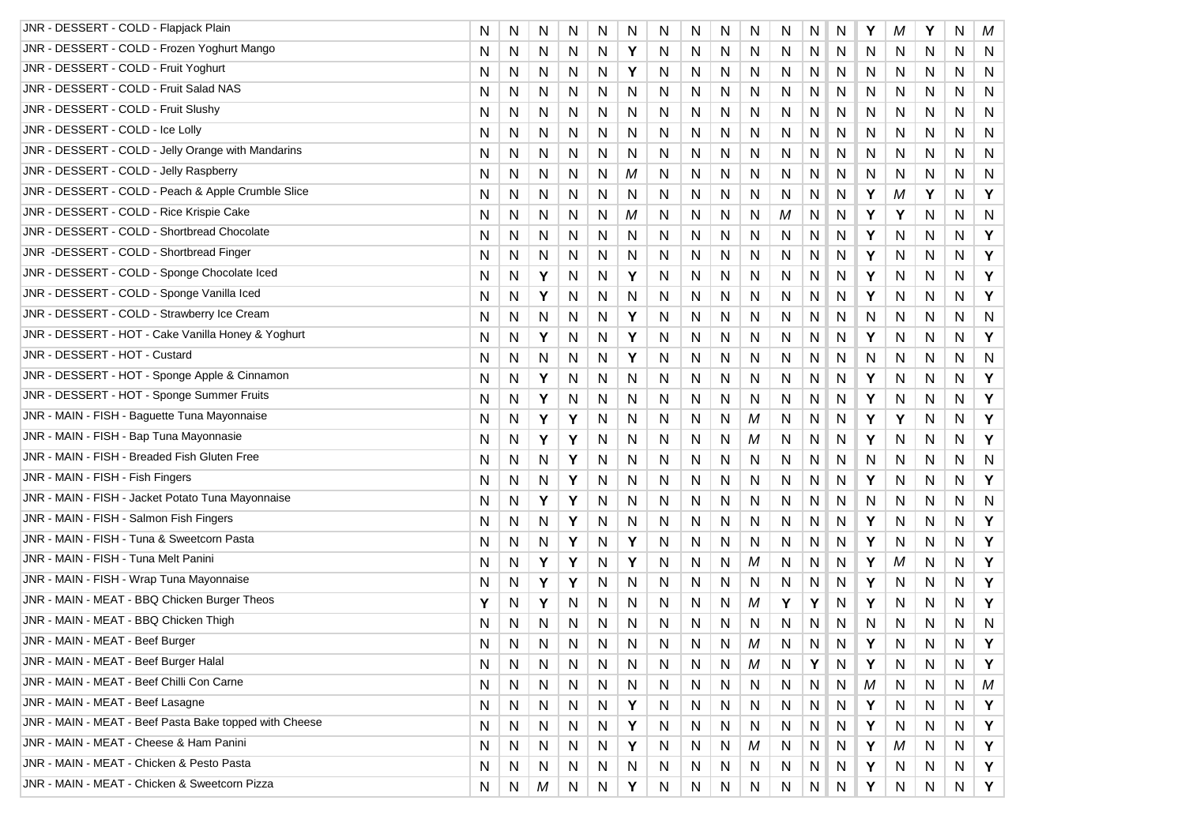| JNR - DESSERT - COLD - Flapjack Plain                  | N | N | N | N | N | N | N | N | N | N  | N  | Ν | N | Y | Μ | Υ | N | M            |
|--------------------------------------------------------|---|---|---|---|---|---|---|---|---|----|----|---|---|---|---|---|---|--------------|
| JNR - DESSERT - COLD - Frozen Yoghurt Mango            | N | N | N | N | N | Υ | N | N | N | N  | N. | N | N | N | N | N | N | N            |
| JNR - DESSERT - COLD - Fruit Yoghurt                   | N | N | N | N | N | Y | N | N | N | N  | N  | N | N | N | N | N | N | N            |
| JNR - DESSERT - COLD - Fruit Salad NAS                 | N | N | N | N | N | N | N | N | N | N  | N  | N | N | N | N | N | N | N            |
| JNR - DESSERT - COLD - Fruit Slushy                    | N | N | N | N | N | N | N | N | N | N  | N  | Ν | N | N | N | N | N | $\mathsf{N}$ |
| JNR - DESSERT - COLD - Ice Lolly                       | N | N | N | N | N | N | N | N | N | N  | N  | N | N | N | N | N | N | N            |
| JNR - DESSERT - COLD - Jelly Orange with Mandarins     | N | N | N | N | N | N | N | N | N | N  | N  | N | N | N | N | N | N | N            |
| JNR - DESSERT - COLD - Jelly Raspberry                 | N | N | N | N | N | М | N | N | N | N  | N  | Ν | N | N | N | N | N | N            |
| JNR - DESSERT - COLD - Peach & Apple Crumble Slice     | N | N | N | N | N | N | N | N | N | N  | N  | Ν | N | Y | М | Υ | N | Υ            |
| JNR - DESSERT - COLD - Rice Krispie Cake               | N | N | N | N | N | М | N | N | N | N  | M  | Ν | N | Υ | Y | N | N | $\mathsf{N}$ |
| JNR - DESSERT - COLD - Shortbread Chocolate            | N | N | N | N | N | N | N | N | N | N  | N  | N | N | Υ | N | N | N | Υ            |
| JNR -DESSERT - COLD - Shortbread Finger                | N | N | N | N | N | N | N | N | N | N  | N  | Ν | N | Υ | N | N | N | Υ            |
| JNR - DESSERT - COLD - Sponge Chocolate Iced           | N | N | Y | N | N | Y | N | N | N | N  | N  | N | N | Y | N | N | N | Υ            |
| JNR - DESSERT - COLD - Sponge Vanilla Iced             | N | N | Y | N | N | N | N | N | N | N  | N  | Ν | N | Υ | N | N | N | Υ            |
| JNR - DESSERT - COLD - Strawberry Ice Cream            | N | N | N | N | N | Y | N | N | N | N  | N  | Ν | N | N | N | N | N | N            |
| JNR - DESSERT - HOT - Cake Vanilla Honey & Yoghurt     | N | N | Υ | N | N | Υ | N | N | N | N  | N  | N | N | Υ | N | N | N | Υ            |
| JNR - DESSERT - HOT - Custard                          | N | N | N | N | N | Y | Ν | N | N | N  | N  | Ν | N | N | N | N | N | $\mathsf{N}$ |
| JNR - DESSERT - HOT - Sponge Apple & Cinnamon          | N | N | Υ | N | N | N | N | N | N | N  | N  | Ν | N | Y | N | N | N | Υ            |
| JNR - DESSERT - HOT - Sponge Summer Fruits             | N | N | Υ | N | N | N | N | N | N | N  | N  | Ν | N | Υ | N | N | N | Υ            |
| JNR - MAIN - FISH - Baguette Tuna Mayonnaise           | N | N | Υ | Υ | N | N | N | N | N | М  | N  | N | N | Y | Υ | N | N | Υ            |
| JNR - MAIN - FISH - Bap Tuna Mayonnasie                | N | N | Y | Υ | N | N | N | N | N | М  | N  | N | N | Υ | N | N | N | Υ            |
| JNR - MAIN - FISH - Breaded Fish Gluten Free           | N | N | N | Υ | N | N | N | N | N | N  | N  | Ν | N | N | N | N | N | N            |
| JNR - MAIN - FISH - Fish Fingers                       | N | N | N | Y | N | N | N | N | N | N  | N  | Ν | N | Y | N | N | N | Υ            |
| JNR - MAIN - FISH - Jacket Potato Tuna Mayonnaise      | N | N | Υ | Y | N | N | N | N | N | N  | N  | Ν | N | N | N | N | N | $\mathsf{N}$ |
| JNR - MAIN - FISH - Salmon Fish Fingers                | N | N | N | Υ | N | N | N | N | N | N  | N  | N | N | Y | N | N | N | Υ            |
| JNR - MAIN - FISH - Tuna & Sweetcorn Pasta             | N | N | N | Y | N | Y | N | N | N | N  | N  | N | N | Υ | N | N | N | Υ            |
| JNR - MAIN - FISH - Tuna Melt Panini                   | N | N | Υ | Υ | N | Y | N | N | N | М  | N  | Ν | N | Y | Μ | N | N | Υ            |
| JNR - MAIN - FISH - Wrap Tuna Mayonnaise               | N | N | Υ | Υ | N | N | N | N | N | N  | N  | Ν | N | Υ | N | N | N | Υ            |
| JNR - MAIN - MEAT - BBQ Chicken Burger Theos           | Υ | N | Y | N | N | N | N | N | N | M  | Y  | Y | N | Υ | N | N | N | Y            |
| JNR - MAIN - MEAT - BBQ Chicken Thigh                  | N | N | N | N | N | N | N | N | N | N  | N  | N | N | N | N | N | N | N            |
| JNR - MAIN - MEAT - Beef Burger                        | N | N | N | N | N | N | N | N | N | М  | N  | N | N | Υ | N | N | N | Υ            |
| JNR - MAIN - MEAT - Beef Burger Halal                  | N | N | N | N | N | N | N | N | N | M  | N  | Υ | N | Υ | N | N | N | Υ            |
| JNR - MAIN - MEAT - Beef Chilli Con Carne              | N | N | N | N | N | N | N | N | N | N  | N  | N | N | М | N | N | N | М            |
| JNR - MAIN - MEAT - Beef Lasagne                       | N | N | N | N | N | Υ | N | N | N | N  | N. | N | N | Υ | N | N | N | Υ            |
| JNR - MAIN - MEAT - Beef Pasta Bake topped with Cheese | N | N | N | N | N | Y | N | N | N | N. | N  | N | N | Υ | N | N | N | Υ            |
| JNR - MAIN - MEAT - Cheese & Ham Panini                | N | N | N | N | N | Y | N | N | N | М  | N  | N | N | Υ | М | N | N | Y            |
| JNR - MAIN - MEAT - Chicken & Pesto Pasta              | N | N | N | N | N | N | N | N | N | N  | N  | N | N | Y | N | N | N | Υ            |
| JNR - MAIN - MEAT - Chicken & Sweetcorn Pizza          | N | N | М | N | N | Y | N | N | N | N  | N  | N | N | Υ | N | N | N | Y            |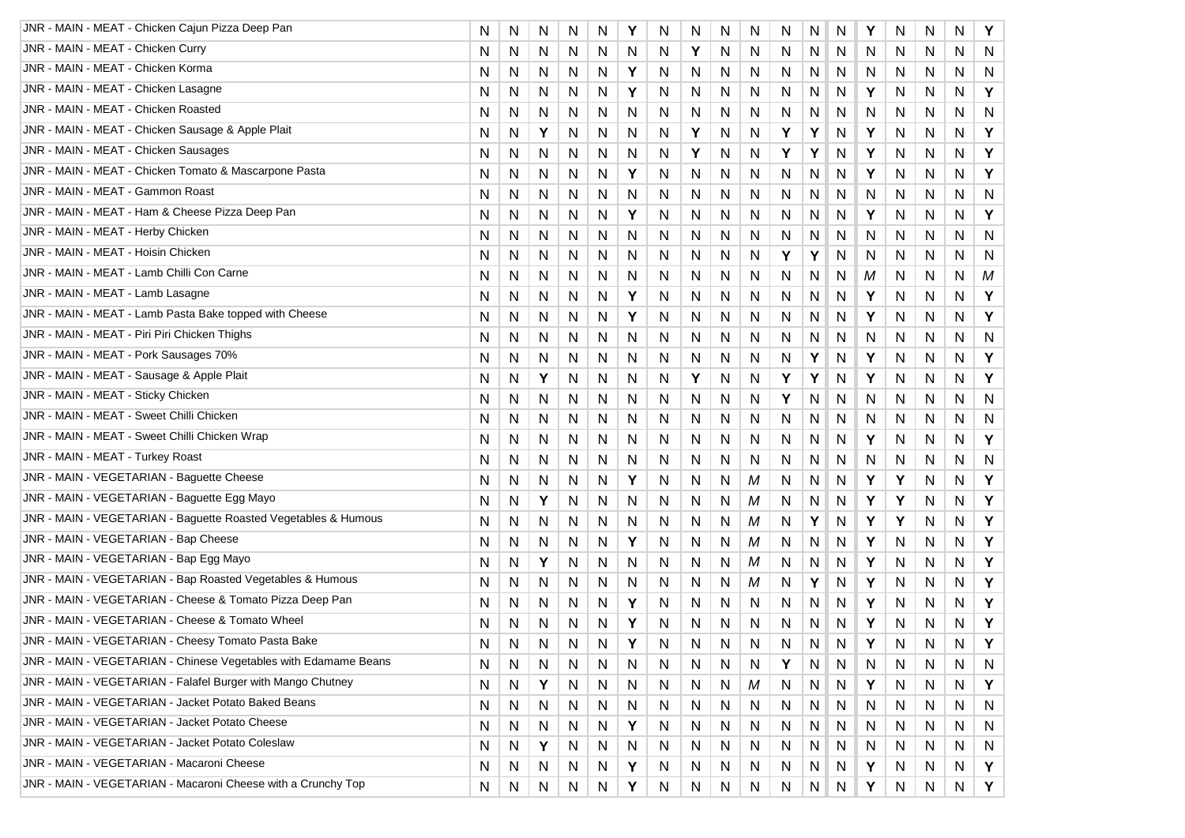| JNR - MAIN - MEAT - Chicken Cajun Pizza Deep Pan                | N | N | N | N | N | Υ | N | N | N | N | N | N | N | Υ | N | N | N | Y |
|-----------------------------------------------------------------|---|---|---|---|---|---|---|---|---|---|---|---|---|---|---|---|---|---|
| JNR - MAIN - MEAT - Chicken Curry                               | N | N | N | N | N | N | N | Y | N | N | N | N | N | N | N | N | N | N |
| JNR - MAIN - MEAT - Chicken Korma                               | N | N | N | N | N | Y | N | N | N | N | N | N | N | N | N | N | N | N |
| JNR - MAIN - MEAT - Chicken Lasagne                             | N | N | N | N | N | Υ | N | N | N | N | N | N | N | Υ | N | N | N | Y |
| JNR - MAIN - MEAT - Chicken Roasted                             | N | N | N | N | N | N | N | N | N | N | N | N | N | N | N | N | N | N |
| JNR - MAIN - MEAT - Chicken Sausage & Apple Plait               | N | N | Y | N | N | N | N | Υ | N | N | Y | Υ | N | Υ | N | N | N | Υ |
| <b>JNR - MAIN - MEAT - Chicken Sausages</b>                     | N | N | N | N | N | N | N | Υ | N | N | Υ | Υ | N | Υ | N | N | N | Υ |
| JNR - MAIN - MEAT - Chicken Tomato & Mascarpone Pasta           | N | N | N | N | N | Y | N | Ν | N | N | N | N | N | Υ | N | N | N | Y |
| JNR - MAIN - MEAT - Gammon Roast                                | N | N | N | N | N | N | N | Ν | N | N | N | N | N | N | N | N | N | N |
| JNR - MAIN - MEAT - Ham & Cheese Pizza Deep Pan                 | N | N | N | N | N | Y | N | N | N | N | N | N | N | Y | N | N | N | Υ |
| JNR - MAIN - MEAT - Herby Chicken                               | N | N | N | N | N | N | N | N | N | N | N | N | N | N | Ν | N | N | N |
| JNR - MAIN - MEAT - Hoisin Chicken                              | N | N | N | N | N | N | N | N | N | N | Y | Υ | N | N | N | N | N | N |
| JNR - MAIN - MEAT - Lamb Chilli Con Carne                       | N | N | N | N | N | N | N | N | N | N | N | N | N | М | N | Ν | N | M |
| JNR - MAIN - MEAT - Lamb Lasagne                                | N | N | N | N | N | Υ | N | N | N | N | N | N | N | Υ | N | Ν | N | Υ |
| JNR - MAIN - MEAT - Lamb Pasta Bake topped with Cheese          | N | N | N | N | N | Y | N | N | N | N | N | N | N | Υ | N | N | N | Y |
| JNR - MAIN - MEAT - Piri Piri Chicken Thighs                    | N | N | N | N | N | N | N | N | N | N | N | N | N | N | N | N | N | N |
| JNR - MAIN - MEAT - Pork Sausages 70%                           | N | N | N | N | N | N | N | Ν | N | N | N | Υ | N | Y | N | Ν | N | Y |
| JNR - MAIN - MEAT - Sausage & Apple Plait                       | N | N | Υ | N | N | N | N | Υ | N | N | Υ | Y | N | Y | N | N | N | Y |
| JNR - MAIN - MEAT - Sticky Chicken                              | N | N | N | N | N | N | N | N | N | N | Υ | N | N | N | N | N | N | N |
| JNR - MAIN - MEAT - Sweet Chilli Chicken                        | N | N | N | N | N | N | N | N | N | N | N | N | N | N | N | N | N | N |
| JNR - MAIN - MEAT - Sweet Chilli Chicken Wrap                   | N | N | N | N | N | N | N | N | N | N | N | N | N | Υ | N | N | N | Υ |
| JNR - MAIN - MEAT - Turkey Roast                                | N | N | N | N | N | N | N | N | N | N | N | N | N | N | N | N | N | N |
| JNR - MAIN - VEGETARIAN - Baguette Cheese                       | N | N | N | N | N | Υ | N | Ν | N | M | N | N | N | Υ | Υ | N | N | Y |
| JNR - MAIN - VEGETARIAN - Baguette Egg Mayo                     | N | N | Υ | N | N | N | N | N | N | M | N | N | N | Y | Y | N | N | Y |
| JNR - MAIN - VEGETARIAN - Baguette Roasted Vegetables & Humous  | N | N | N | N | N | N | N | N | N | М | N | Υ | N | Υ | Υ | N | N | Υ |
| JNR - MAIN - VEGETARIAN - Bap Cheese                            | N | N | N | N | N | Υ | N | N | N | М | N | N | N | Υ | Ν | N | N | Υ |
| JNR - MAIN - VEGETARIAN - Bap Egg Mayo                          | N | N | Υ | N | N | N | N | Ν | N | М | N | N | N | Υ | N | N | N | Y |
| JNR - MAIN - VEGETARIAN - Bap Roasted Vegetables & Humous       | N | N | N | N | N | N | N | N | N | M | N | Υ | N | Υ | N | N | N | Υ |
| JNR - MAIN - VEGETARIAN - Cheese & Tomato Pizza Deep Pan        | N | N | N | N | N | Y | N | N | N | N | N | N | N | Y | N | N | N | Υ |
| JNR - MAIN - VEGETARIAN - Cheese & Tomato Wheel                 | N | N | N | N | N | Y | N | N | N | N | N | N | N | Υ | N | Ν | Ν | Y |
| JNR - MAIN - VEGETARIAN - Cheesy Tomato Pasta Bake              | N | N | N | N | N | Υ | N | N | N | N | N | N | N | Υ | N | Ν | N | Y |
| JNR - MAIN - VEGETARIAN - Chinese Vegetables with Edamame Beans | N | N | N | N | N | N | N | N | N | N | Y | N | N | N | N | N | N | N |
| JNR - MAIN - VEGETARIAN - Falafel Burger with Mango Chutney     | N | N | Υ | N | N | N | N | N | N | М | N | N | N | Y | N | N | N | Y |
| JNR - MAIN - VEGETARIAN - Jacket Potato Baked Beans             | N | N | N | N | N | N | N | N | N | N | N | N | N | N | N | N | N | N |
| JNR - MAIN - VEGETARIAN - Jacket Potato Cheese                  | N | N | N | N | N | Y | N | N | N | N | N | N | N | N | N | N | N | N |
| JNR - MAIN - VEGETARIAN - Jacket Potato Coleslaw                | N | N | Y | N | N | N | N | N | N | N | N | N | N | N | N | N | N | N |
| JNR - MAIN - VEGETARIAN - Macaroni Cheese                       | N | N | N | N | N | Υ | N | N | N | N | N | N | N | Y | N | N | N | Y |
| JNR - MAIN - VEGETARIAN - Macaroni Cheese with a Crunchy Top    | N | N | N | N | N | Υ | N | N | N | N | N | N | N | Υ | N | N | N | Υ |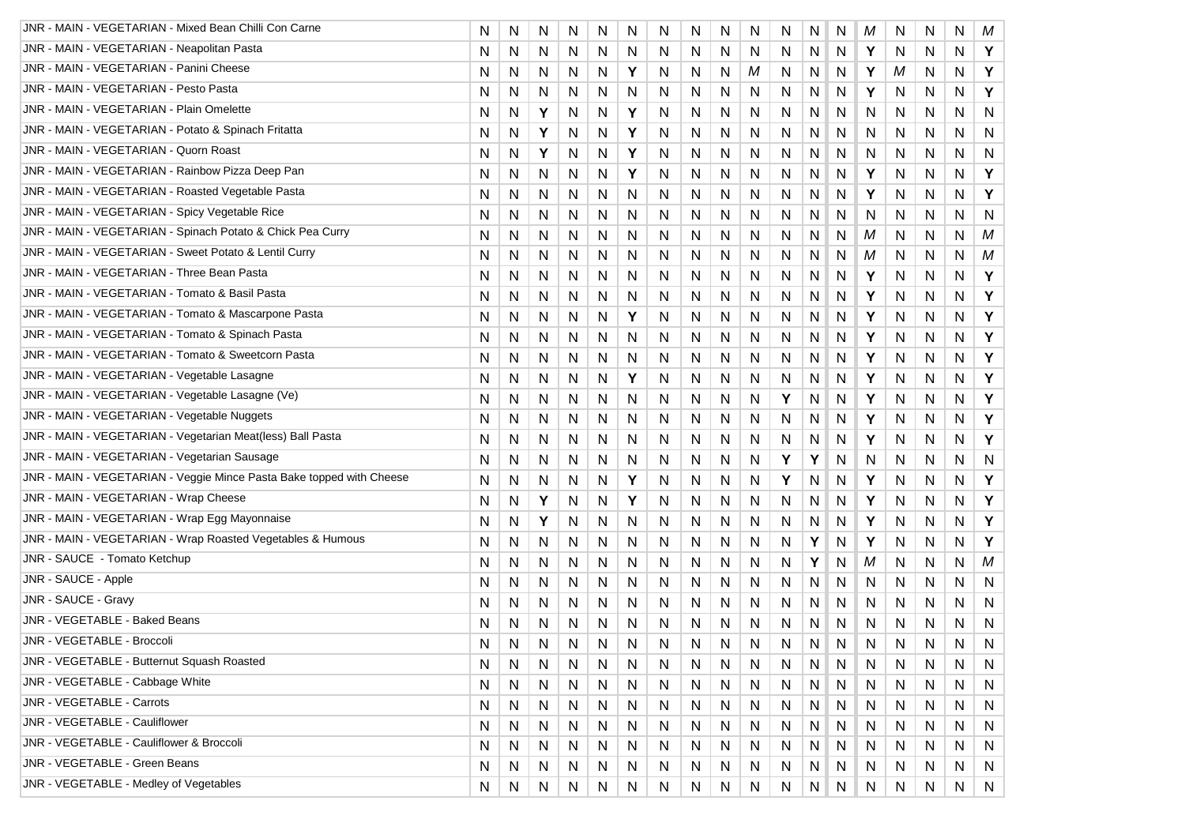| JNR - MAIN - VEGETARIAN - Mixed Bean Chilli Con Carne                | N | N            | N | N         | N         | N | N            | N         | N | N            | N  | N | N            | Μ            | N            | N         | N | М            |
|----------------------------------------------------------------------|---|--------------|---|-----------|-----------|---|--------------|-----------|---|--------------|----|---|--------------|--------------|--------------|-----------|---|--------------|
| JNR - MAIN - VEGETARIAN - Neapolitan Pasta                           | N | N            | N | N         | N         | N | N            | N         | N | N            | N. | N | N            | Y            | N            | N         | N | Υ            |
| JNR - MAIN - VEGETARIAN - Panini Cheese                              | N | N            | N | N         | N         | Y | N            | N         | N | М            | N  | N | N            | Y            | М            | N         | N | Y            |
| JNR - MAIN - VEGETARIAN - Pesto Pasta                                | N | N            | N | N         | N         | N | N            | N         | N | N            | N  | N | N            | Y            | N            | N         | N | Υ            |
| JNR - MAIN - VEGETARIAN - Plain Omelette                             | N | N            | Υ | N         | N         | Y | N            | N         | N | N            | N  | Ν | N            | N            | N            | N         | N | N            |
| JNR - MAIN - VEGETARIAN - Potato & Spinach Fritatta                  | N | N            | Υ | N         | N         | Y | N            | N         | N | N            | N  | N | N            | N            | N            | N         | N | N            |
| JNR - MAIN - VEGETARIAN - Quorn Roast                                | N | N            | Υ | N         | N         | Y | N            | N         | N | N            | N  | N | N            | N            | N            | N         | N | N            |
| JNR - MAIN - VEGETARIAN - Rainbow Pizza Deep Pan                     | N | N            | N | N         | N         | Y | N            | N         | N | N            | N  | N | N            | Y            | N            | N         | N | Υ            |
| JNR - MAIN - VEGETARIAN - Roasted Vegetable Pasta                    | N | N            | N | N         | N         | N | N            | N         | N | N            | N  | N | N            | Y            | N            | N         | N | Υ            |
| JNR - MAIN - VEGETARIAN - Spicy Vegetable Rice                       | N | N            | N | N         | N         | N | N            | N         | N | N            | N  | Ν | N            | N            | N            | N         | N | N            |
| JNR - MAIN - VEGETARIAN - Spinach Potato & Chick Pea Curry           | N | N            | N | N         | N         | N | N            | N         | N | N            | N  | N | N            | М            | N            | N         | N | M            |
| JNR - MAIN - VEGETARIAN - Sweet Potato & Lentil Curry                | N | N            | N | N         | N         | N | N            | N         | N | N            | N  | Ν | N            | М            | N            | N         | N | М            |
| JNR - MAIN - VEGETARIAN - Three Bean Pasta                           | N | N            | N | N         | N         | N | N            | N         | N | N            | N  | N | N            | Y            | N            | N         | N | Υ            |
| JNR - MAIN - VEGETARIAN - Tomato & Basil Pasta                       | N | N            | N | N         | N         | N | N            | N         | N | N            | N  | N | N            | Y            | N            | N         | N | Υ            |
| JNR - MAIN - VEGETARIAN - Tomato & Mascarpone Pasta                  | N | N            | N | N         | N         | Y | N            | N         | N | N            | N  | N | N            | Y            | N            | N         | N | Υ            |
| JNR - MAIN - VEGETARIAN - Tomato & Spinach Pasta                     | N | N            | N | N         | N         | N | N            | N         | N | N            | N  | N | N            | Y            | N            | N         | N | Υ            |
| JNR - MAIN - VEGETARIAN - Tomato & Sweetcorn Pasta                   | N | N            | N | N         | N         | N | N            | N         | N | N            | N  | N | N            | Y            | N            | N         | N | Υ            |
| JNR - MAIN - VEGETARIAN - Vegetable Lasagne                          | N | N            | N | N         | N         | Υ | N            | N         | N | N            | N  | N | N            | Y            | N            | N         | N | Υ            |
| JNR - MAIN - VEGETARIAN - Vegetable Lasagne (Ve)                     | N | N            | N | N         | N         | N | N            | N         | N | N            | Υ  | Ν | N            | Y            | N            | N         | N | Υ            |
| JNR - MAIN - VEGETARIAN - Vegetable Nuggets                          | N | N            | N | N         | N         | N | N            | N         | N | N            | N  | N | N            | Y            | N            | N         | N | Υ            |
| JNR - MAIN - VEGETARIAN - Vegetarian Meat(less) Ball Pasta           | N | N            | N | N         | N         | N | N            | N         | N | N            | N  | N | N            | Y            | N            | N         | N | Υ            |
| JNR - MAIN - VEGETARIAN - Vegetarian Sausage                         | N | N            | N | N         | N         | N | N            | N         | N | N            | Υ  | Y | N            | N            | N            | N         | N | N            |
| JNR - MAIN - VEGETARIAN - Veggie Mince Pasta Bake topped with Cheese | N | N            | N | N         | N         | Y | N            | N         | N | N            | Υ  | Ν | N            | Y            | N            | N         | N | Υ            |
| JNR - MAIN - VEGETARIAN - Wrap Cheese                                | N | N            | Υ | N         | N         | Y | N            | N         | N | N            | N  | Ν | N            | Υ            | N            | N         | N | Υ            |
| JNR - MAIN - VEGETARIAN - Wrap Egg Mayonnaise                        | N | N            | Υ | N         | N         | N | N            | N         | N | N            | N  | N | N            | Υ            | N            | N         | N | Υ            |
| JNR - MAIN - VEGETARIAN - Wrap Roasted Vegetables & Humous           | N | N            | N | N         | N         | N | N            | N         | N | N            | N  | Y | N            | Y            | N            | N         | N | Υ            |
| JNR - SAUCE - Tomato Ketchup                                         | N | N            | N | N         | N         | N | N            | N         | N | N            | N  | Υ | N            | М            | N            | N         | N | M            |
| JNR - SAUCE - Apple                                                  | N | N            | N | N         | N         | N | N            | N         | N | N            | N  | Ν | N            | N            | N            | N         | N | N            |
| JNR - SAUCE - Gravy                                                  | N | N            | N | N         | N         | N | N            | N         | N | N            | N  | N | N            | N            | N            | N         | N | $\mathsf{N}$ |
| JNR - VEGETABLE - Baked Beans                                        | N | N            | N | N         | N         | N | N            | N         | N | N            | N  | N | N            | N            | N            | N         | N | N            |
| JNR - VEGETABLE - Broccoli                                           | N | N            | N | N         | N         | N | N            | Ν         | N | N            | N  | Ν | N            | N            | N            | N         | N | N            |
| JNR - VEGETABLE - Butternut Squash Roasted                           | N | N            | N | N         | N         | N | N            | N         | N | N            | N  | Ν | N            | N            | N            | N         | N | N            |
| JNR - VEGETABLE - Cabbage White                                      | N | $\mathsf{N}$ | N | N         | N         | N | N            | N         | N | N            | N  | N | N            | N            | $\mathsf{N}$ | N         | N | N            |
| <b>JNR - VEGETABLE - Carrots</b>                                     | N | N            | N | N         | N         | N | N            | N         | N | N            | N  | N | N            | N            | N            | N         | N | N            |
| JNR - VEGETABLE - Cauliflower                                        | N | N            | N | N         | N         | N | N            | N         | N | N            | N  | N | N            | N            | N            | N         | N | N            |
| JNR - VEGETABLE - Cauliflower & Broccoli                             | N | N            | N | N         | N         | N | N            | N         | N | N            | N  | N | $\mathsf{N}$ | $\mathsf{N}$ | $\mathsf{N}$ | N         | N | N            |
| JNR - VEGETABLE - Green Beans                                        | N | N            | N | N         | N         | N | N            | N         | N | N            | N  | N | N            | N            | N            | N         | N | N            |
| JNR - VEGETABLE - Medley of Vegetables                               | N | N            | N | ${\sf N}$ | ${\sf N}$ | N | $\mathsf{N}$ | ${\sf N}$ | N | $\mathsf{N}$ | N  | N | N            | N            | N            | ${\sf N}$ | N | N            |